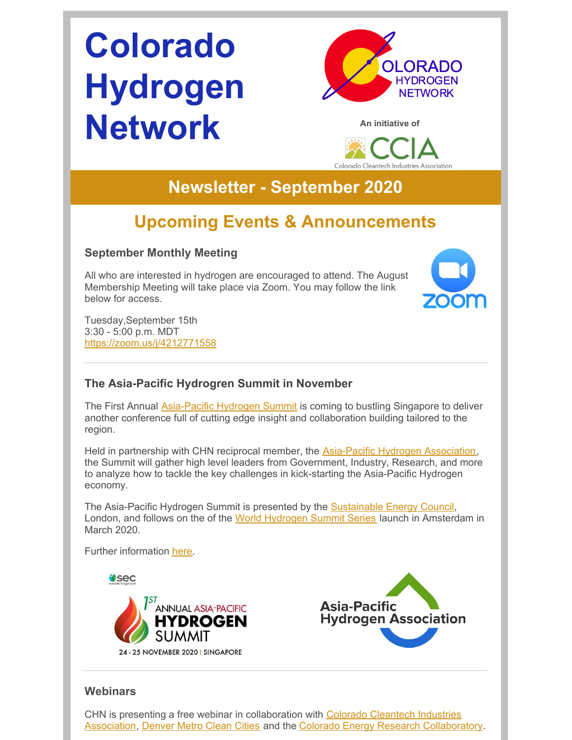# **Colorado Hydrogen Network**







## **Newsletter - September 2020**

# **Upcoming Events & Announcements**

## **September Monthly Meeting**

All who are interested in hydrogen are encouraged to attend. The August Membership Meeting will take place via Zoom. You may follow the link below for access.



Tuesday,September 15th 3:30 - 5:00 p.m. MDT <https://zoom.us/j/4212771558>

## **The Asia-Pacific Hydrogren Summit in November**

The First Annual [Asia-Pacific](https://apac-hydrogen.us14.list-manage.com/subscribe?u=5a0b74167e5419fa2faef2ff2&id=ef9a00bc2f) Hydrogen Summit is coming to bustling Singapore to deliver another conference full of cutting edge insight and collaboration building tailored to the region.

Held in partnership with CHN reciprocal member, the [Asia-Pacific](https://apac-hydrogen.org/) Hydrogen Association, the Summit will gather high level leaders from Government, Industry, Research, and more to analyze how to tackle the key challenges in kick-starting the Asia-Pacific Hydrogen economy.

The Asia-Pacific Hydrogen Summit is presented by the **[Sustainable](https://apac-hydrogen.us14.list-manage.com/track/click?u=5a0b74167e5419fa2faef2ff2&id=e1e2e05eb7&e=3477105676) Energy Council**, London, and follows on the of the World [Hydrogen](https://apac-hydrogen.us14.list-manage.com/track/click?u=5a0b74167e5419fa2faef2ff2&id=94758d1e3e&e=3477105676) Summit Series launch in Amsterdam in March 2020.

Further information [here](https://apac-hydrogen.us14.list-manage.com/subscribe?u=5a0b74167e5419fa2faef2ff2&id=ef9a00bc2f).

**USEC** 





## **Webinars**

CHN is presenting a free webinar in [collaboration](https://coloradocleantech.com/) with Colorado Cleantech Industries Association, [Denver](https://denvermetrocleancities.org/) Metro Clean Cities and the Colorado Energy Research [Collaboratory](https://www.coloradocollaboratory.org/).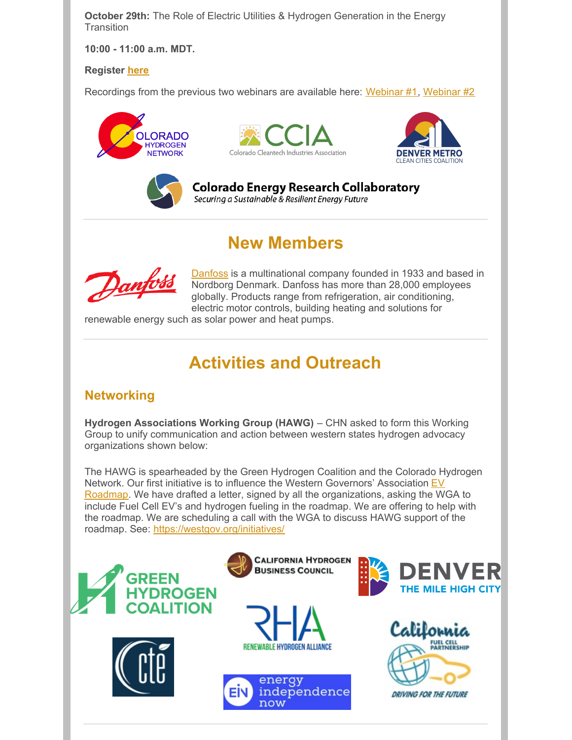**October 29th:** The Role of Electric Utilities & Hydrogen Generation in the Energy **Transition** 

**10:00 - 11:00 a.m. MDT.**

#### **Register [here](https://cercsymposium.org/collaboratory-hosted-webinars-2020-2021/)**

Recordings from the previous two webinars are available here: [Webinar](https://vimeo.com/441450136) #1, Webinar #2









Colorado Energy Research Collaboratory Securing a Sustainable & Resilient Energy Future

## **New Members**



[Danfoss](https://www.danfoss.com/en-us/) is a multinational company founded in 1933 and based in Nordborg Denmark. Danfoss has more than 28,000 employees globally. Products range from refrigeration, air conditioning, electric motor controls, building heating and solutions for

renewable energy such as solar power and heat pumps.

# **Activities and Outreach**

## **Networking**

**Hydrogen Associations Working Group (HAWG)** – CHN asked to form this Working Group to unify communication and action between western states hydrogen advocacy organizations shown below:

The HAWG is spearheaded by the Green Hydrogen Coalition and the Colorado Hydrogen Network. Our first initiative is to influence the Western Governors' Association EV Roadmap. We have drafted a letter, signed by all the [organizations,](https://westgov.org/initiatives/) asking the WGA to include Fuel Cell EV's and hydrogen fueling in the roadmap. We are offering to help with the roadmap. We are scheduling a call with the WGA to discuss HAWG support of the roadmap. See: <https://westgov.org/initiatives/>

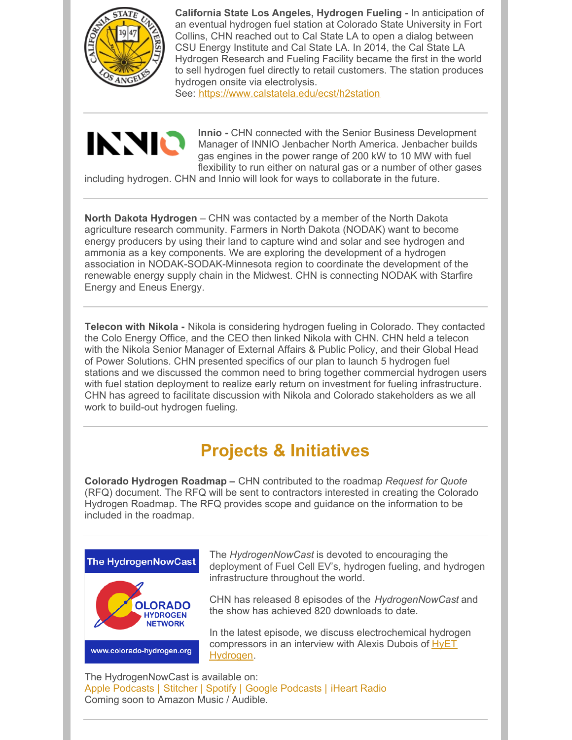

**California State Los Angeles, Hydrogen Fueling -** In anticipation of an eventual hydrogen fuel station at Colorado State University in Fort Collins, CHN reached out to Cal State LA to open a dialog between CSU Energy Institute and Cal State LA. In 2014, the Cal State LA Hydrogen Research and Fueling Facility became the first in the world to sell hydrogen fuel directly to retail customers. The station produces hydrogen onsite via electrolysis.

See: <https://www.calstatela.edu/ecst/h2station>



**Innio -** CHN connected with the Senior Business Development Manager of INNIO Jenbacher North America. Jenbacher builds gas engines in the power range of 200 kW to 10 MW with fuel flexibility to run either on natural gas or a number of other gases

including hydrogen. CHN and Innio will look for ways to collaborate in the future.

**North Dakota Hydrogen** – CHN was contacted by a member of the North Dakota agriculture research community. Farmers in North Dakota (NODAK) want to become energy producers by using their land to capture wind and solar and see hydrogen and ammonia as a key components. We are exploring the development of a hydrogen association in NODAK-SODAK-Minnesota region to coordinate the development of the renewable energy supply chain in the Midwest. CHN is connecting NODAK with Starfire Energy and Eneus Energy.

**Telecon with Nikola -** Nikola is considering hydrogen fueling in Colorado. They contacted the Colo Energy Office, and the CEO then linked Nikola with CHN. CHN held a telecon with the Nikola Senior Manager of External Affairs & Public Policy, and their Global Head of Power Solutions. CHN presented specifics of our plan to launch 5 hydrogen fuel stations and we discussed the common need to bring together commercial hydrogen users with fuel station deployment to realize early return on investment for fueling infrastructure. CHN has agreed to facilitate discussion with Nikola and Colorado stakeholders as we all work to build-out hydrogen fueling.

# **Projects & Initiatives**

**Colorado Hydrogen Roadmap –** CHN contributed to the roadmap *Request for Quote* (RFQ) document. The RFQ will be sent to contractors interested in creating the Colorado Hydrogen Roadmap. The RFQ provides scope and guidance on the information to be included in the roadmap.



The *HydrogenNowCast* is devoted to encouraging the deployment of Fuel Cell EV's, hydrogen fueling, and hydrogen infrastructure throughout the world.

CHN has released 8 episodes of the *HydrogenNowCast* and the show has achieved 820 downloads to date.

In the latest episode, we discuss electrochemical hydrogen [compressors](https://hyethydrogen.com/) in an interview with Alexis Dubois of HyET Hydrogen.

The HydrogenNowCast is available on: Apple [Podcasts](https://podcasts.apple.com/us/podcast/hydrogennowcast/id1515826648) | [Stitcher](https://www.stitcher.com/s?fid=540617&refid=stpr) | [Spotify](https://open.spotify.com/show/0XkWjfWalLRK7Cd59w6vmU) | Google [Podcasts](https://podcasts.google.com/?feed=aHR0cHM6Ly9mZWVkcy5idXp6c3Byb3V0LmNvbS8xMTE3OTAxLnJzcw) | [iHeart](https://www.iheart.com/podcast/269-hydrogennowcast-65253432/) Radio Coming soon to Amazon Music / Audible.